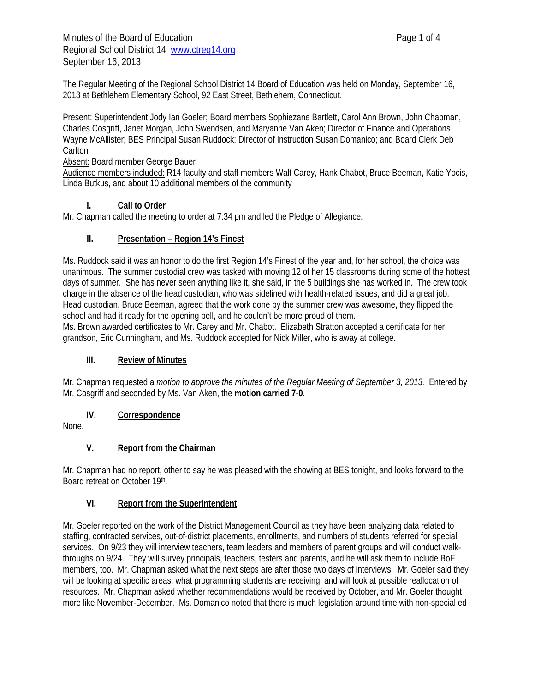The Regular Meeting of the Regional School District 14 Board of Education was held on Monday, September 16, 2013 at Bethlehem Elementary School, 92 East Street, Bethlehem, Connecticut.

Present: Superintendent Jody Ian Goeler; Board members Sophiezane Bartlett, Carol Ann Brown, John Chapman, Charles Cosgriff, Janet Morgan, John Swendsen, and Maryanne Van Aken; Director of Finance and Operations Wayne McAllister; BES Principal Susan Ruddock; Director of Instruction Susan Domanico; and Board Clerk Deb **Carlton** 

#### Absent: Board member George Bauer

Audience members included: R14 faculty and staff members Walt Carey, Hank Chabot, Bruce Beeman, Katie Yocis, Linda Butkus, and about 10 additional members of the community

## **I. Call to Order**

Mr. Chapman called the meeting to order at 7:34 pm and led the Pledge of Allegiance.

## **II. Presentation – Region 14's Finest**

Ms. Ruddock said it was an honor to do the first Region 14's Finest of the year and, for her school, the choice was unanimous. The summer custodial crew was tasked with moving 12 of her 15 classrooms during some of the hottest days of summer. She has never seen anything like it, she said, in the 5 buildings she has worked in. The crew took charge in the absence of the head custodian, who was sidelined with health-related issues, and did a great job. Head custodian, Bruce Beeman, agreed that the work done by the summer crew was awesome, they flipped the school and had it ready for the opening bell, and he couldn't be more proud of them.

Ms. Brown awarded certificates to Mr. Carey and Mr. Chabot. Elizabeth Stratton accepted a certificate for her grandson, Eric Cunningham, and Ms. Ruddock accepted for Nick Miller, who is away at college.

## **III. Review of Minutes**

Mr. Chapman requested a *motion to approve the minutes of the Regular Meeting of September 3, 2013.* Entered by Mr. Cosgriff and seconded by Ms. Van Aken, the **motion carried 7-0**.

## **IV. Correspondence**

None.

## **V. Report from the Chairman**

Mr. Chapman had no report, other to say he was pleased with the showing at BES tonight, and looks forward to the Board retreat on October 19th.

## **VI. Report from the Superintendent**

Mr. Goeler reported on the work of the District Management Council as they have been analyzing data related to staffing, contracted services, out-of-district placements, enrollments, and numbers of students referred for special services. On 9/23 they will interview teachers, team leaders and members of parent groups and will conduct walkthroughs on 9/24. They will survey principals, teachers, testers and parents, and he will ask them to include BoE members, too. Mr. Chapman asked what the next steps are after those two days of interviews. Mr. Goeler said they will be looking at specific areas, what programming students are receiving, and will look at possible reallocation of resources. Mr. Chapman asked whether recommendations would be received by October, and Mr. Goeler thought more like November-December. Ms. Domanico noted that there is much legislation around time with non-special ed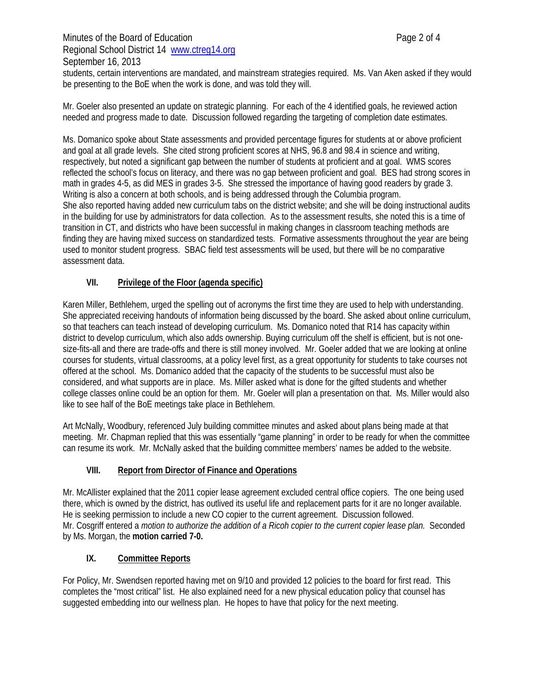Minutes of the Board of Education **Page 2 of 4** Regional School District 14 www.ctreg14.org September 16, 2013 students, certain interventions are mandated, and mainstream strategies required. Ms. Van Aken asked if they would be presenting to the BoE when the work is done, and was told they will.

Mr. Goeler also presented an update on strategic planning. For each of the 4 identified goals, he reviewed action needed and progress made to date. Discussion followed regarding the targeting of completion date estimates.

Ms. Domanico spoke about State assessments and provided percentage figures for students at or above proficient and goal at all grade levels. She cited strong proficient scores at NHS, 96.8 and 98.4 in science and writing, respectively, but noted a significant gap between the number of students at proficient and at goal. WMS scores reflected the school's focus on literacy, and there was no gap between proficient and goal. BES had strong scores in math in grades 4-5, as did MES in grades 3-5. She stressed the importance of having good readers by grade 3. Writing is also a concern at both schools, and is being addressed through the Columbia program. She also reported having added new curriculum tabs on the district website; and she will be doing instructional audits in the building for use by administrators for data collection. As to the assessment results, she noted this is a time of transition in CT, and districts who have been successful in making changes in classroom teaching methods are finding they are having mixed success on standardized tests. Formative assessments throughout the year are being used to monitor student progress. SBAC field test assessments will be used, but there will be no comparative assessment data.

## **VII. Privilege of the Floor (agenda specific)**

Karen Miller, Bethlehem, urged the spelling out of acronyms the first time they are used to help with understanding. She appreciated receiving handouts of information being discussed by the board. She asked about online curriculum, so that teachers can teach instead of developing curriculum. Ms. Domanico noted that R14 has capacity within district to develop curriculum, which also adds ownership. Buying curriculum off the shelf is efficient, but is not onesize-fits-all and there are trade-offs and there is still money involved. Mr. Goeler added that we are looking at online courses for students, virtual classrooms, at a policy level first, as a great opportunity for students to take courses not offered at the school. Ms. Domanico added that the capacity of the students to be successful must also be considered, and what supports are in place. Ms. Miller asked what is done for the gifted students and whether college classes online could be an option for them. Mr. Goeler will plan a presentation on that. Ms. Miller would also like to see half of the BoE meetings take place in Bethlehem.

Art McNally, Woodbury, referenced July building committee minutes and asked about plans being made at that meeting. Mr. Chapman replied that this was essentially "game planning" in order to be ready for when the committee can resume its work. Mr. McNally asked that the building committee members' names be added to the website.

## **VIII. Report from Director of Finance and Operations**

Mr. McAllister explained that the 2011 copier lease agreement excluded central office copiers. The one being used there, which is owned by the district, has outlived its useful life and replacement parts for it are no longer available. He is seeking permission to include a new CO copier to the current agreement. Discussion followed. Mr. Cosgriff entered a *motion to authorize the addition of a Ricoh copier to the current copier lease plan.* Seconded by Ms. Morgan, the **motion carried 7-0.** 

## **IX. Committee Reports**

For Policy, Mr. Swendsen reported having met on 9/10 and provided 12 policies to the board for first read. This completes the "most critical" list. He also explained need for a new physical education policy that counsel has suggested embedding into our wellness plan. He hopes to have that policy for the next meeting.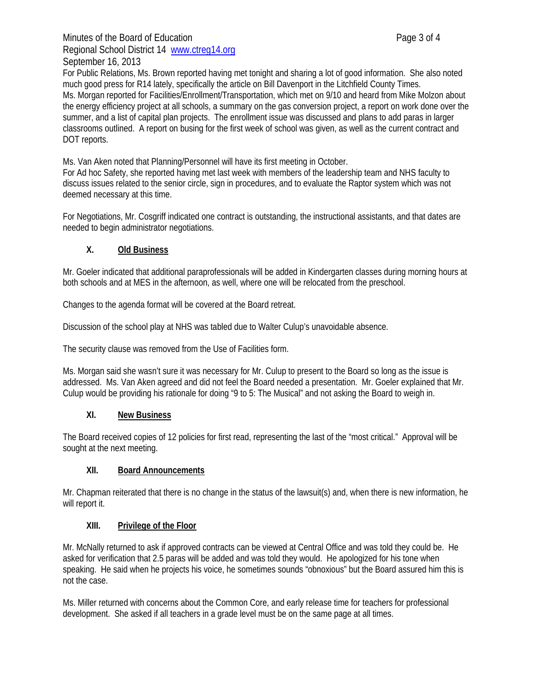# Minutes of the Board of Education **Page 3 of 4** Regional School District 14 www.ctreg14.org September 16, 2013

For Public Relations, Ms. Brown reported having met tonight and sharing a lot of good information. She also noted much good press for R14 lately, specifically the article on Bill Davenport in the Litchfield County Times. Ms. Morgan reported for Facilities/Enrollment/Transportation, which met on 9/10 and heard from Mike Molzon about the energy efficiency project at all schools, a summary on the gas conversion project, a report on work done over the summer, and a list of capital plan projects. The enrollment issue was discussed and plans to add paras in larger classrooms outlined. A report on busing for the first week of school was given, as well as the current contract and DOT reports.

Ms. Van Aken noted that Planning/Personnel will have its first meeting in October.

For Ad hoc Safety, she reported having met last week with members of the leadership team and NHS faculty to discuss issues related to the senior circle, sign in procedures, and to evaluate the Raptor system which was not deemed necessary at this time.

For Negotiations, Mr. Cosgriff indicated one contract is outstanding, the instructional assistants, and that dates are needed to begin administrator negotiations.

#### **X. Old Business**

Mr. Goeler indicated that additional paraprofessionals will be added in Kindergarten classes during morning hours at both schools and at MES in the afternoon, as well, where one will be relocated from the preschool.

Changes to the agenda format will be covered at the Board retreat.

Discussion of the school play at NHS was tabled due to Walter Culup's unavoidable absence.

The security clause was removed from the Use of Facilities form.

Ms. Morgan said she wasn't sure it was necessary for Mr. Culup to present to the Board so long as the issue is addressed. Ms. Van Aken agreed and did not feel the Board needed a presentation. Mr. Goeler explained that Mr. Culup would be providing his rationale for doing "9 to 5: The Musical" and not asking the Board to weigh in.

#### **XI. New Business**

The Board received copies of 12 policies for first read, representing the last of the "most critical." Approval will be sought at the next meeting.

#### **XII. Board Announcements**

Mr. Chapman reiterated that there is no change in the status of the lawsuit(s) and, when there is new information, he will report it.

#### **XIII. Privilege of the Floor**

Mr. McNally returned to ask if approved contracts can be viewed at Central Office and was told they could be. He asked for verification that 2.5 paras will be added and was told they would. He apologized for his tone when speaking. He said when he projects his voice, he sometimes sounds "obnoxious" but the Board assured him this is not the case.

Ms. Miller returned with concerns about the Common Core, and early release time for teachers for professional development. She asked if all teachers in a grade level must be on the same page at all times.